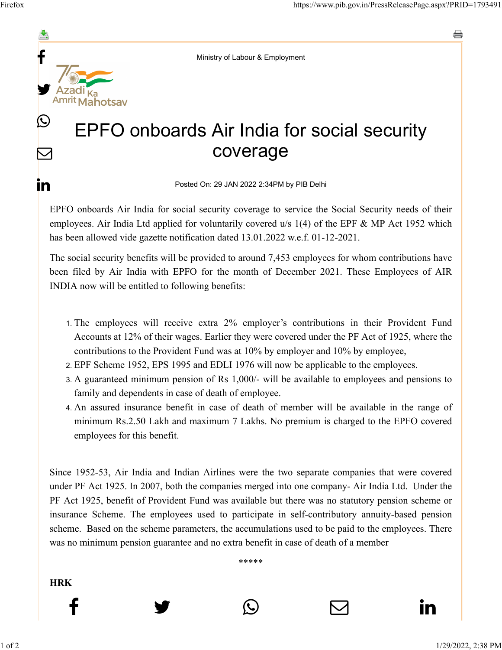$\bm \nabla$ 

in

e



## EPFO onboards Air India for social security coverage

Posted On: 29 JAN 2022 2:34PM by PIB Delhi

EPFO onboards Air India for social security coverage to service the Social Security needs of their employees. Air India Ltd applied for voluntarily covered u/s 1(4) of the EPF & MP Act 1952 which has been allowed vide gazette notification dated 13.01.2022 w.e.f. 01-12-2021.

The social security benefits will be provided to around 7,453 employees for whom contributions have been filed by Air India with EPFO for the month of December 2021. These Employees of AIR INDIA now will be entitled to following benefits:

- 1. The employees will receive extra 2% employer's contributions in their Provident Fund Accounts at 12% of their wages. Earlier they were covered under the PF Act of 1925, where the contributions to the Provident Fund was at 10% by employer and 10% by employee,
- 2. EPF Scheme 1952, EPS 1995 and EDLI 1976 will now be applicable to the employees.
- 3. A guaranteed minimum pension of Rs 1,000/- will be available to employees and pensions to family and dependents in case of death of employee.
- 4. An assured insurance benefit in case of death of member will be available in the range of minimum Rs.2.50 Lakh and maximum 7 Lakhs. No premium is charged to the EPFO covered employees for this benefit.

Since 1952-53, Air India and Indian Airlines were the two separate companies that were covered under PF Act 1925. In 2007, both the companies merged into one company- Air India Ltd. Under the PF Act 1925, benefit of Provident Fund was available but there was no statutory pension scheme or insurance Scheme. The employees used to participate in self-contributory annuity-based pension scheme. Based on the scheme parameters, the accumulations used to be paid to the employees. There was no minimum pension guarantee and no extra benefit in case of death of a member

\*\*\*\*\*

 $f$  y  $\circledcirc$   $\quad \circ$  in

**HRK**